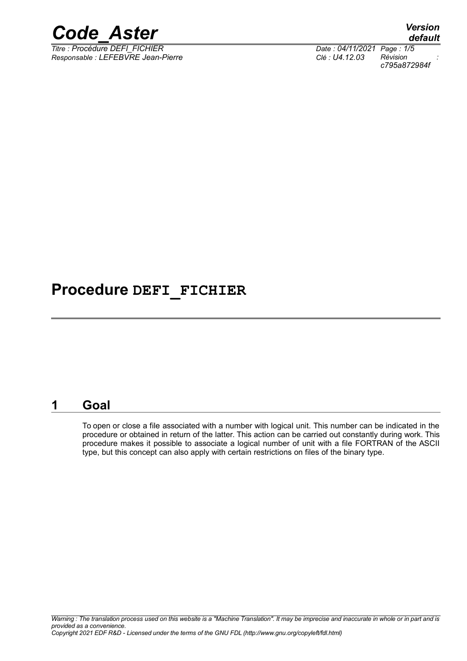

*Titre : Procédure DEFI\_FICHIER Date : 04/11/2021 Page : 1/5 Responsable : LEFEBVRE Jean-Pierre Clé : U4.12.03 Révision :*

*default c795a872984f*

### **Procedure DEFI\_FICHIER**

#### **1 Goal**

To open or close a file associated with a number with logical unit. This number can be indicated in the procedure or obtained in return of the latter. This action can be carried out constantly during work. This procedure makes it possible to associate a logical number of unit with a file FORTRAN of the ASCII type, but this concept can also apply with certain restrictions on files of the binary type.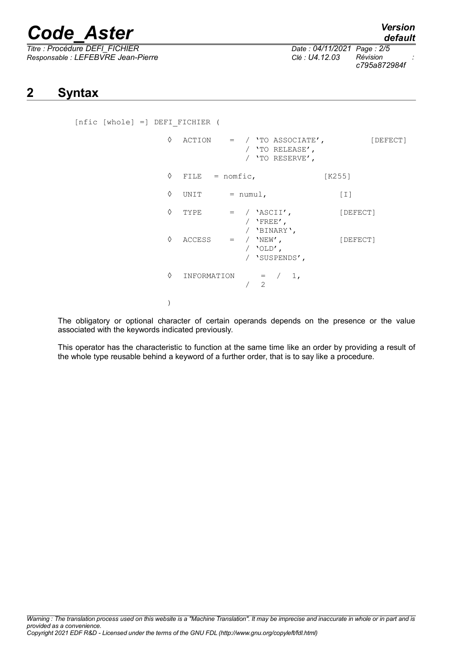# *Code\_Aster Version*

*Titre : Procédure DEFI\_FICHIER Date : 04/11/2021 Page : 2/5 Responsable : LEFEBVRE Jean-Pierre Clé : U4.12.03 Révision :*

*c795a872984f*

#### **2 Syntax**

[nfic [whole] =] DEFI\_FICHIER (

| ♦ | ACTION           |                                               | $=$ / 'TO ASSOCIATE',<br>/ 'TO RELEASE',<br>/ 'TO RESERVE', |        | [DEFECT] |
|---|------------------|-----------------------------------------------|-------------------------------------------------------------|--------|----------|
| ♦ | FILE = $nomfic,$ |                                               |                                                             | [K255] |          |
| ♦ | UNIT             | $=$ numul,                                    |                                                             |        | $[1]$    |
| ♦ | TYPE             | $=$ / 'ASCII',<br>/ $'$ FREE',<br>/ 'BINARY', |                                                             |        | [DEFECT] |
| ♦ | ACCESS           | $=$ $/$ 'NEW',<br>/ 'OLD',                    | / 'SUSPENDS',                                               |        | [DEFECT] |
| ♦ | INFORMATION      | $\overline{2}$                                | $=$ / 1,                                                    |        |          |
|   |                  |                                               |                                                             |        |          |

The obligatory or optional character of certain operands depends on the presence or the value associated with the keywords indicated previously.

This operator has the characteristic to function at the same time like an order by providing a result of the whole type reusable behind a keyword of a further order, that is to say like a procedure.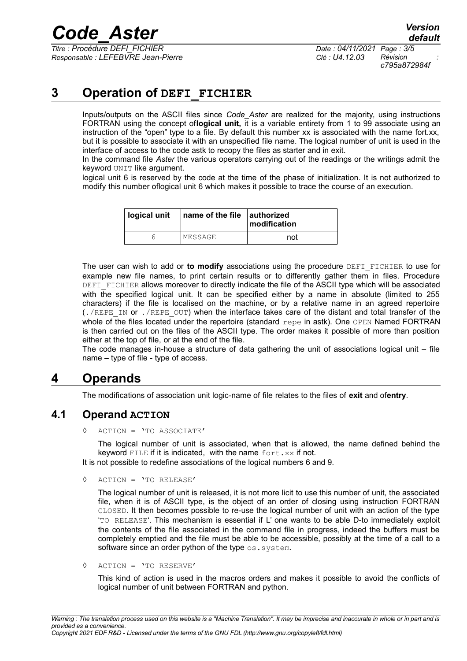## *Code\_Aster Version*

*Titre : Procédure DEFI\_FICHIER Date : 04/11/2021 Page : 3/5 Responsable : LEFEBVRE Jean-Pierre Clé : U4.12.03 Révision :*

*c795a872984f*

#### **3 Operation of DEFI\_FICHIER**

Inputs/outputs on the ASCII files since *Code\_Aster* are realized for the majority, using instructions FORTRAN using the concept of**logical unit,** it is a variable entirety from 1 to 99 associate using an instruction of the "open" type to a file. By default this number xx is associated with the name fort.xx, but it is possible to associate it with an unspecified file name. The logical number of unit is used in the interface of access to the code astk to recopy the files as starter and in exit.

In the command file *Aster* the various operators carrying out of the readings or the writings admit the keyword UNIT like argument.

logical unit 6 is reserved by the code at the time of the phase of initialization. It is not authorized to modify this number oflogical unit 6 which makes it possible to trace the course of an execution.

| logical unit | $\vert$ name of the file $\vert$ authorized | modification |
|--------------|---------------------------------------------|--------------|
|              | MESSAGE                                     | not          |

The user can wish to add or **to modify** associations using the procedure DEFI\_FICHIER to use for example new file names, to print certain results or to differently gather them in files. Procedure DEFI\_FICHIER allows moreover to directly indicate the file of the ASCII type which will be associated with the specified logical unit. It can be specified either by a name in absolute (limited to 255 characters) if the file is localised on the machine, or by a relative name in an agreed repertoire  $(./REPEIN OF ./REPE OUT)$  when the interface takes care of the distant and total transfer of the whole of the files located under the repertoire (standard repe in astk). One OPEN Named FORTRAN is then carried out on the files of the ASCII type. The order makes it possible of more than position either at the top of file, or at the end of the file.

The code manages in-house a structure of data gathering the unit of associations logical unit – file name – type of file - type of access.

#### **4 Operands**

The modifications of association unit logic-name of file relates to the files of **exit** and of**entry**.

#### **4.1 Operand ACTION**

ACTION = 'TO ASSOCIATE'

The logical number of unit is associated, when that is allowed, the name defined behind the keyword  $FILE$  if it is indicated, with the name  $fort.xx$  if not.

It is not possible to redefine associations of the logical numbers 6 and 9.

◊ ACTION = 'TO RELEASE'

The logical number of unit is released, it is not more licit to use this number of unit, the associated file, when it is of ASCII type, is the object of an order of closing using instruction FORTRAN CLOSED. It then becomes possible to re-use the logical number of unit with an action of the type 'TO RELEASE'. This mechanism is essential if L' one wants to be able D-to immediately exploit the contents of the file associated in the command file in progress, indeed the buffers must be completely emptied and the file must be able to be accessible, possibly at the time of a call to a software since an order python of the type os.system.

◊ ACTION = 'TO RESERVE'

This kind of action is used in the macros orders and makes it possible to avoid the conflicts of logical number of unit between FORTRAN and python.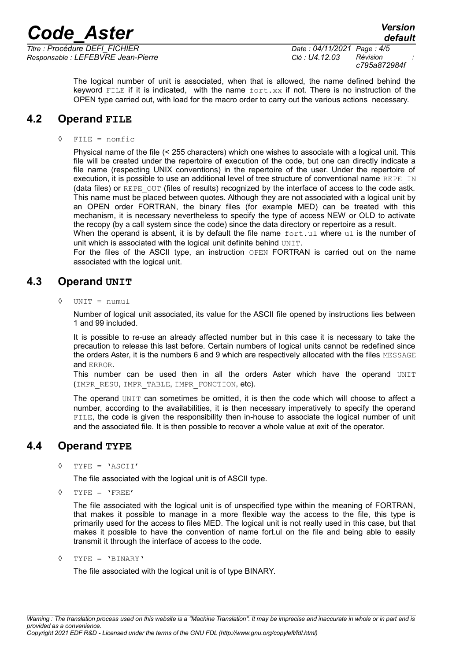*Responsable : LEFEBVRE Jean-Pierre Clé : U4.12.03 Révision :*

*Titre : Procédure DEFI\_FICHIER Date : 04/11/2021 Page : 4/5 c795a872984f*

> The logical number of unit is associated, when that is allowed, the name defined behind the keyword FILE if it is indicated, with the name  $fort.xx$  if not. There is no instruction of the OPEN type carried out, with load for the macro order to carry out the various actions necessary.

#### **4.2 Operand FILE**

◊ FILE = nomfic

Physical name of the file (< 255 characters) which one wishes to associate with a logical unit. This file will be created under the repertoire of execution of the code, but one can directly indicate a file name (respecting UNIX conventions) in the repertoire of the user. Under the repertoire of execution, it is possible to use an additional level of tree structure of conventional name REPE\_IN (data files) or REPE\_OUT (files of results) recognized by the interface of access to the code astk. This name must be placed between quotes. Although they are not associated with a logical unit by an OPEN order FORTRAN, the binary files (for example MED) can be treated with this mechanism, it is necessary nevertheless to specify the type of access NEW or OLD to activate the recopy (by a call system since the code) since the data directory or repertoire as a result.

When the operand is absent, it is by default the file name  $fortull$  where ull is the number of unit which is associated with the logical unit definite behind UNIT.

For the files of the ASCII type, an instruction OPEN FORTRAN is carried out on the name associated with the logical unit.

#### **4.3 Operand UNIT**

◊ UNIT = numul

Number of logical unit associated, its value for the ASCII file opened by instructions lies between 1 and 99 included.

It is possible to re-use an already affected number but in this case it is necessary to take the precaution to release this last before. Certain numbers of logical units cannot be redefined since the orders Aster, it is the numbers 6 and 9 which are respectively allocated with the files MESSAGE and ERROR.

This number can be used then in all the orders Aster which have the operand UNIT (IMPR RESU, IMPR TABLE, IMPR FONCTION, etc).

The operand UNIT can sometimes be omitted, it is then the code which will choose to affect a number, according to the availabilities, it is then necessary imperatively to specify the operand FILE, the code is given the responsibility then in-house to associate the logical number of unit and the associated file. It is then possible to recover a whole value at exit of the operator.

#### **4.4 Operand TYPE**

◊ TYPE = 'ASCII'

The file associated with the logical unit is of ASCII type.

 $\Diamond$  TYPE = 'FREE'

The file associated with the logical unit is of unspecified type within the meaning of FORTRAN, that makes it possible to manage in a more flexible way the access to the file, this type is primarily used for the access to files MED. The logical unit is not really used in this case, but that makes it possible to have the convention of name fort.ul on the file and being able to easily transmit it through the interface of access to the code.

◊ TYPE = 'BINARY'

The file associated with the logical unit is of type BINARY.